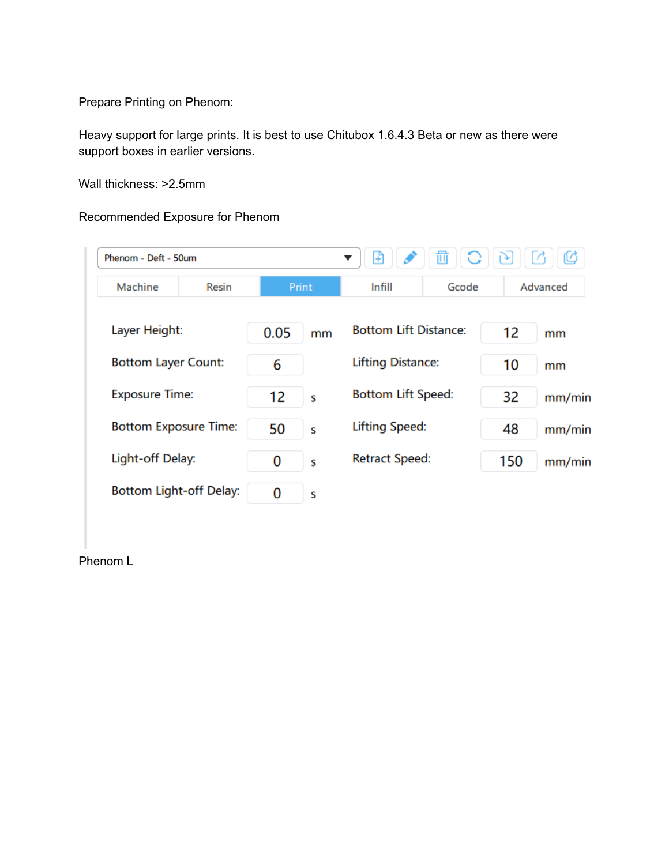Prepare Printing on Phenom:

Heavy support for large prints. It is best to use Chitubox 1.6.4.3 Beta or new as there were support boxes in earlier versions.

Wall thickness: >2.5mm

## Recommended Exposure for Phenom

| Phenom - Deft - 50um         |              |       | 靣<br>Ŧ                   |                              |       |     |          |  |
|------------------------------|--------------|-------|--------------------------|------------------------------|-------|-----|----------|--|
| Machine                      | <b>Resin</b> | Print |                          | Infill                       | Gcode |     | Advanced |  |
| Layer Height:                |              | 0.05  | mm                       | <b>Bottom Lift Distance:</b> |       | 12  | mm       |  |
| <b>Bottom Layer Count:</b>   |              | 6     | <b>Lifting Distance:</b> |                              | 10    | mm  |          |  |
| <b>Exposure Time:</b>        |              | 12    | S                        | <b>Bottom Lift Speed:</b>    |       | 32  | mm/min   |  |
| <b>Bottom Exposure Time:</b> |              | 50    | S                        | <b>Lifting Speed:</b>        |       | 48  | mm/min   |  |
| Light-off Delay:             |              | 0     | S                        | <b>Retract Speed:</b>        |       | 150 | mm/min   |  |
| Bottom Light-off Delay:      |              | 0     | S                        |                              |       |     |          |  |

Phenom L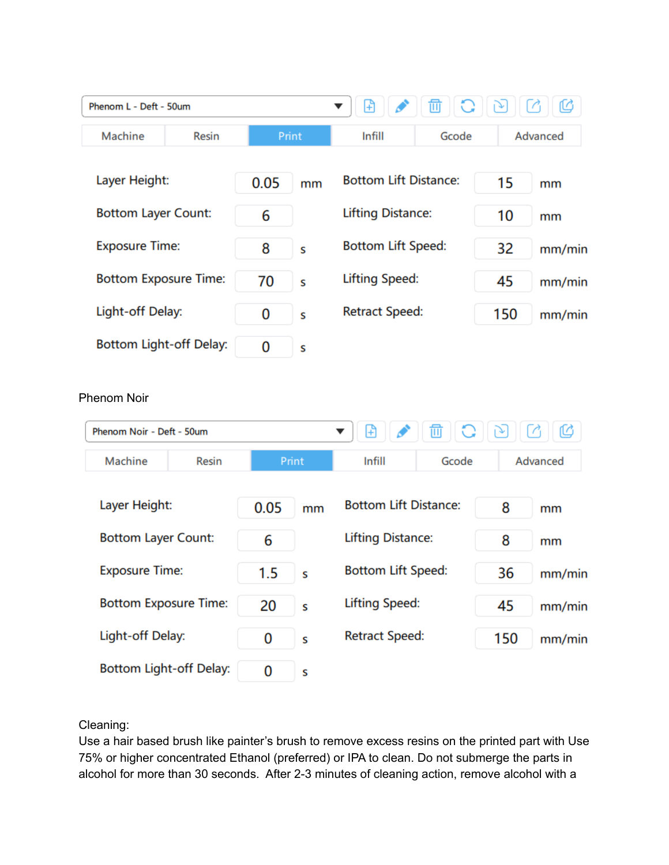| Phenom L - Deft - 50um       |       |       | ⊕<br>▼                       | $\bigcirc$<br>勔   | $\lbrack \mathcal{E} \rbrack$                                                                                                                                                                                                                                                                                                                       | Ø<br>$\sqrt{2}$            |
|------------------------------|-------|-------|------------------------------|-------------------|-----------------------------------------------------------------------------------------------------------------------------------------------------------------------------------------------------------------------------------------------------------------------------------------------------------------------------------------------------|----------------------------|
| Machine<br><b>Resin</b>      | Print |       | Infill<br>Gcode              |                   | Advanced                                                                                                                                                                                                                                                                                                                                            |                            |
| Layer Height:                | 0.05  | mm    | <b>Bottom Lift Distance:</b> |                   | 15                                                                                                                                                                                                                                                                                                                                                  | mm                         |
| <b>Bottom Layer Count:</b>   | 6     |       | <b>Lifting Distance:</b>     |                   | 10                                                                                                                                                                                                                                                                                                                                                  | mm                         |
| <b>Exposure Time:</b>        | 8     | S     | <b>Bottom Lift Speed:</b>    |                   | 32                                                                                                                                                                                                                                                                                                                                                  | mm/min                     |
| <b>Bottom Exposure Time:</b> | 70    | S     | <b>Lifting Speed:</b>        |                   | 45                                                                                                                                                                                                                                                                                                                                                  | mm/min                     |
| Light-off Delay:             | 0     | S     | <b>Retract Speed:</b>        |                   | 150                                                                                                                                                                                                                                                                                                                                                 | mm/min                     |
| Bottom Light-off Delay:      | 0     | S     |                              |                   |                                                                                                                                                                                                                                                                                                                                                     |                            |
| <b>Phenom Noir</b>           |       |       |                              |                   |                                                                                                                                                                                                                                                                                                                                                     |                            |
| Phenom Noir - Deft - 50um    |       |       | ⊕<br>▼                       | $\mathbb{C}$<br>勔 | $\begin{picture}(40,40) \put(0,0){\line(1,0){10}} \put(15,0){\line(1,0){10}} \put(15,0){\line(1,0){10}} \put(15,0){\line(1,0){10}} \put(15,0){\line(1,0){10}} \put(15,0){\line(1,0){10}} \put(15,0){\line(1,0){10}} \put(15,0){\line(1,0){10}} \put(15,0){\line(1,0){10}} \put(15,0){\line(1,0){10}} \put(15,0){\line(1,0){10}} \put(15,0){\line(1$ | C                          |
| Machine<br>Resin             |       | Print | Infill                       | Gcode             |                                                                                                                                                                                                                                                                                                                                                     | Advanced                   |
| Layer Height:                | 0.05  | mm    | <b>Bottom Lift Distance:</b> |                   | 8                                                                                                                                                                                                                                                                                                                                                   | mm                         |
| <b>Bottom Layer Count:</b>   | 6     |       | <b>Lifting Distance:</b>     |                   | 8                                                                                                                                                                                                                                                                                                                                                   | mm                         |
| <b>Exposure Time:</b>        | 1.5   | S     | <b>Bottom Lift Speed:</b>    |                   | 36                                                                                                                                                                                                                                                                                                                                                  |                            |
| <b>Bottom Exposure Time:</b> | 20    | S     | <b>Lifting Speed:</b>        |                   | 45                                                                                                                                                                                                                                                                                                                                                  |                            |
| Light-off Delay:             | 0     | S     | <b>Retract Speed:</b>        |                   | 150                                                                                                                                                                                                                                                                                                                                                 | mm/min<br>mm/min<br>mm/min |

Cleaning:

Use a hair based brush like painter's brush to remove excess resins on the printed part with Use 75% or higher concentrated Ethanol (preferred) or IPA to clean. Do not submerge the parts in alcohol for more than 30 seconds. After 2-3 minutes of cleaning action, remove alcohol with a